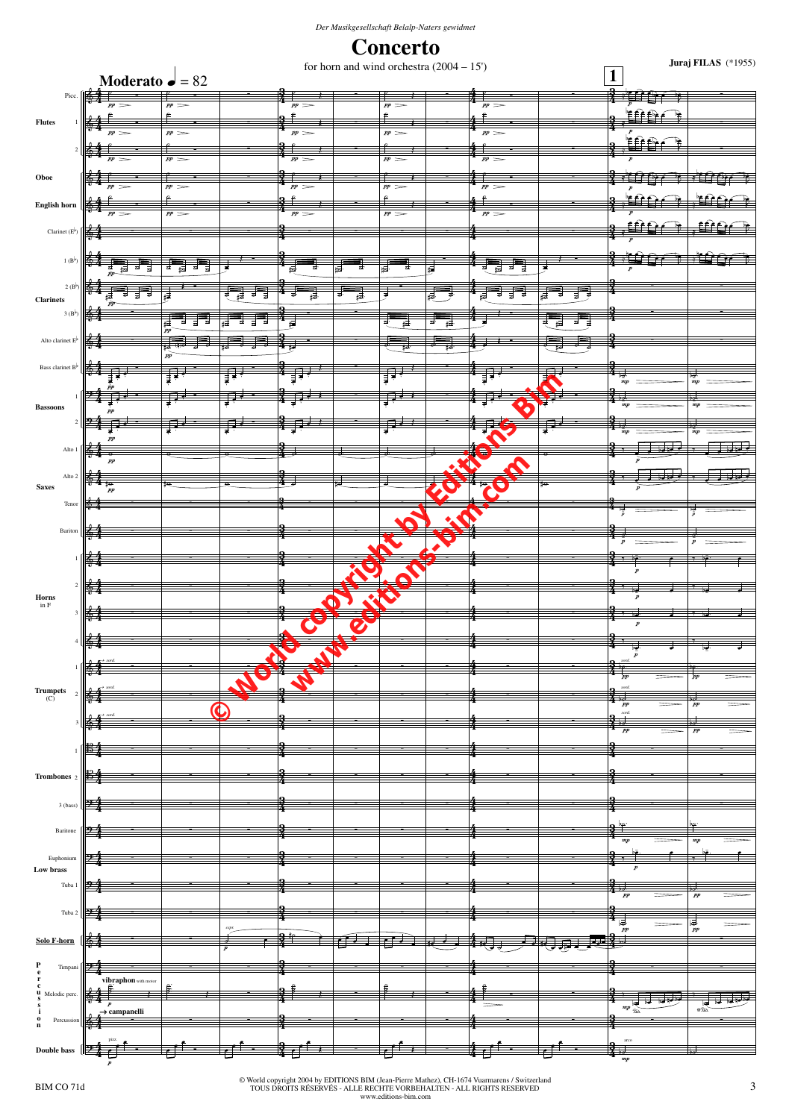© World copyright 2004 by EDITIONS BIM (Jean-Pierre Mathez), CH-1674 Vuarmarens / Switzerland<br>TOUS DROITS RÉSERVÉS - ALLE RECHTE VORBEHALTEN - ALL RIGHTS RESERVED TOUS DROITS RÉSERVÉS - ALLE RECHTE VORBEHALTEN - ALL RIGHTS RESERVED www.editions-bim.com



**Juraj FILAS** (\*1955)

*Der Musikgesellschaft Belalp-Naters gewidmet*

## **Concerto**

for horn and wind orchestra  $(2004 - 15)$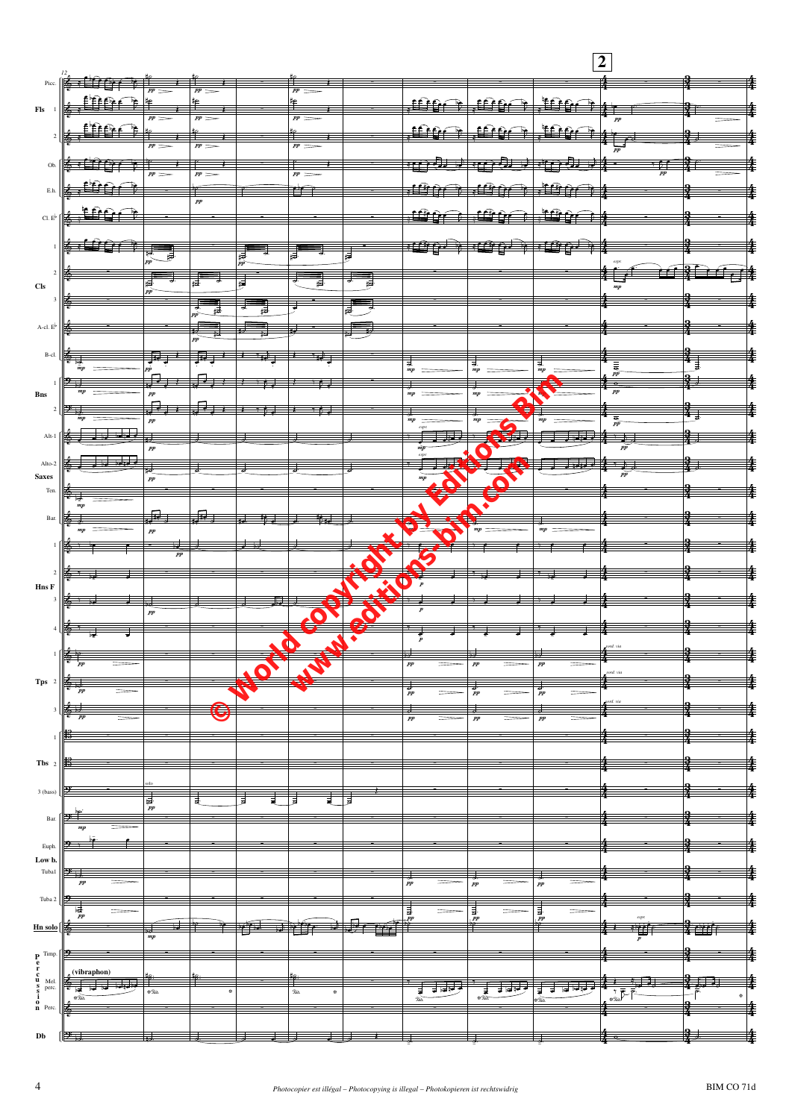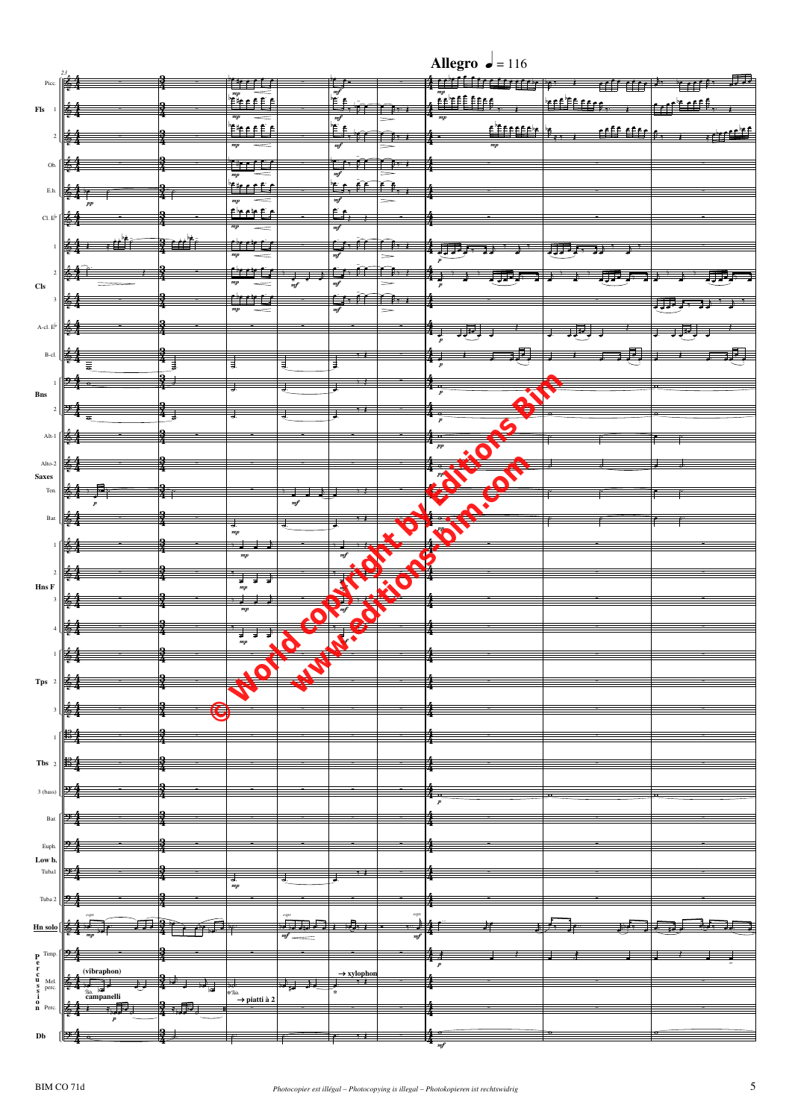Picc. 戸  $\rightarrow$   $\rightarrow$   $\rightarrow$   $\rightarrow$   $\rightarrow$ <u>م موم</u>  $\begin{array}{c}\n\overline{mp} \\
\overline{mp} \\
\overline{p} \\
\overline{p} \\
\overline{p} \\
\overline{p} \\
\overline{p} \\
\overline{p} \\
\overline{p} \\
\overline{p} \\
\overline{p} \\
\overline{p} \\
\overline{p} \\
\overline{p} \\
\overline{p} \\
\overline{p} \\
\overline{p} \\
\overline{p} \\
\overline{p} \\
\overline{p} \\
\overline{p} \\
\overline{p} \\
\overline{p} \\
\overline{p} \\
\overline{p} \\
\overline{p} \\
\overline{p} \\
\overline{p} \\
\overline{p} \\
\overline{p} \\
\over$  $\begin{array}{c}\n\overrightarrow{mf} \\
\uparrow \downarrow \\
\uparrow \downarrow\n\end{array}$  $\begin{array}{c}\n\overline{mp} \\
\overline{m} \\
\overline{m} \\
\overline{m} \\
\overline{m} \\
\overline{m} \\
\overline{m} \\
\overline{m} \\
\overline{m} \\
\overline{m} \\
\overline{m} \\
\overline{m} \\
\overline{m} \\
\overline{m} \\
\overline{m} \\
\overline{m} \\
\overline{m} \\
\overline{m} \\
\overline{m} \\
\overline{m} \\
\overline{m} \\
\overline{m} \\
\overline{m} \\
\overline{m} \\
\overline{m} \\
\overline{m} \\
\overline{m} \\
\overline{m} \\
\overline{m} \\
\overline{m} \\
\over$ 土工艺 **<b>I**s 1 K <u>elseresele le</u> <u>reeff</u> e e <u>eff ffe</u>  $\frac{1}{3}$  or  $\frac{1}{2}$  $\overline{\phantom{a}^{\bullet}$  $\overline{c}$ Ob.  $m f$ E.h. る  $\it mj$  $\epsilon$  $E$ be elle  $E$ Cl.  $E^{\flat}$ 6  $mf$ 1. <del>. . . . . .</del> . .,,,, .<del>...</del> FT. 東東  $m f$  $\mathbf{C}$ ls أكروائ  $\mathbb{P}_{\tau}$  : <u>" L</u> <del>ता न</del>  $\overline{\mathbf{3}}$  $\overline{mf}$ A-cl.  $E^{\flat}$  $\spadesuit$ त्र,ल्रि ⋾⋰ ▜▗▛▌  $\frac{1}{p}$  $\overline{\phantom{0}}$ ∓ Τ B-cl.  $\blacklozenge$  $\overline{1}$ 긯 <u>न्द</u>  $\frac{\mathbf{e}}{p}$ **Bns**  $\overline{2}$  $\boldsymbol{p}$  $Alt-1$ FRANCISCO Alto-2 **Saxes** Ten.  $\bullet$  2 ╩  $m$ Bar. ౹ౚ  $\frac{1}{mp}$ 1  $\boldsymbol{m}$ ROS  $\begin{array}{c|c}\n\hline\n\bullet & \bullet \\
\hline\nm p\n\end{array}$ ₹ Hns F  $\frac{1}{mp}$  $\overline{\mathbf{3}}$ Ò  $\frac{1}{mp}$ Ò  $\,1\,$ |∱ Tps  $2$ 6  $3 \sqrt{6}$ 肠  $\frac{1}{1}$ Tbs  $2 \parallel \mathbf{B} \parallel$  $3$  (bass) ⊯ Bar.

Allegro  $\bullet$  = 116

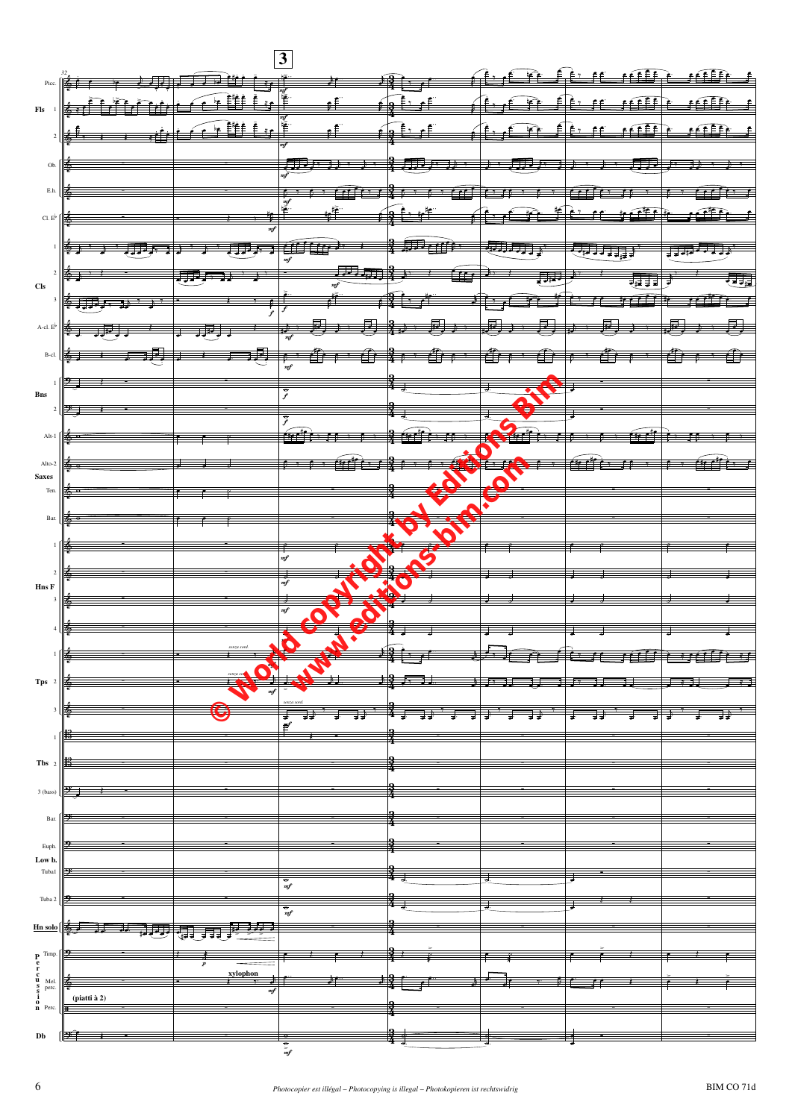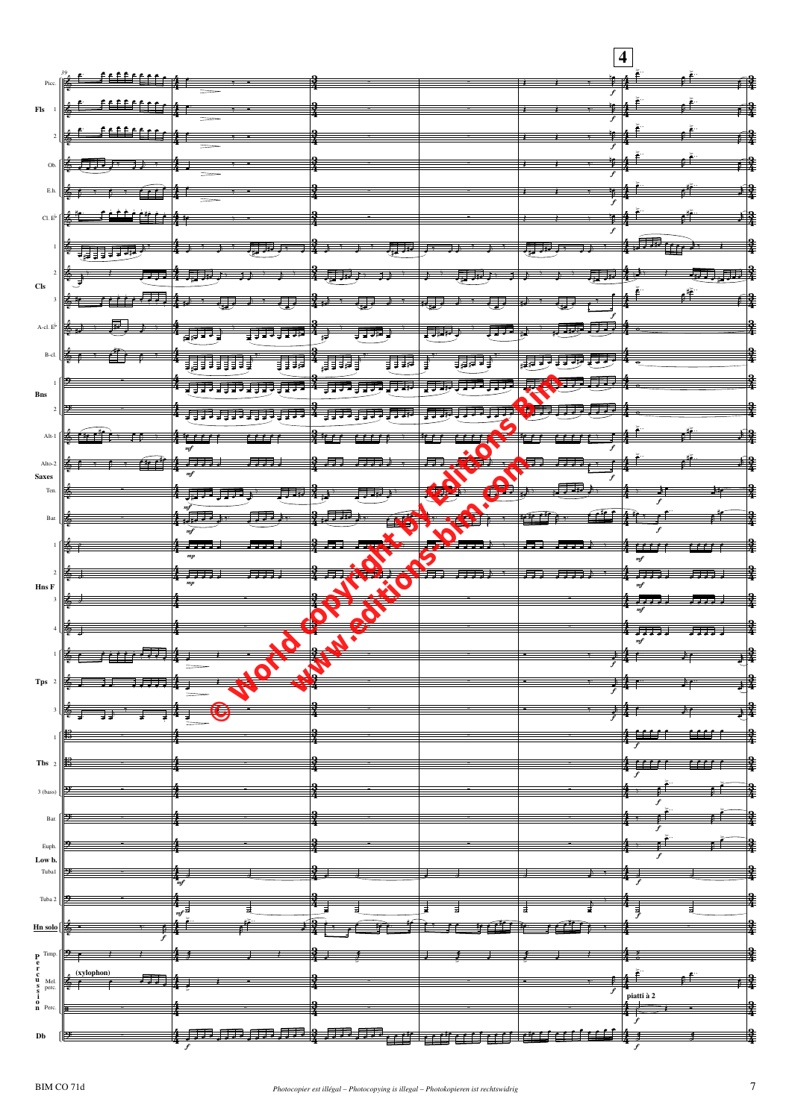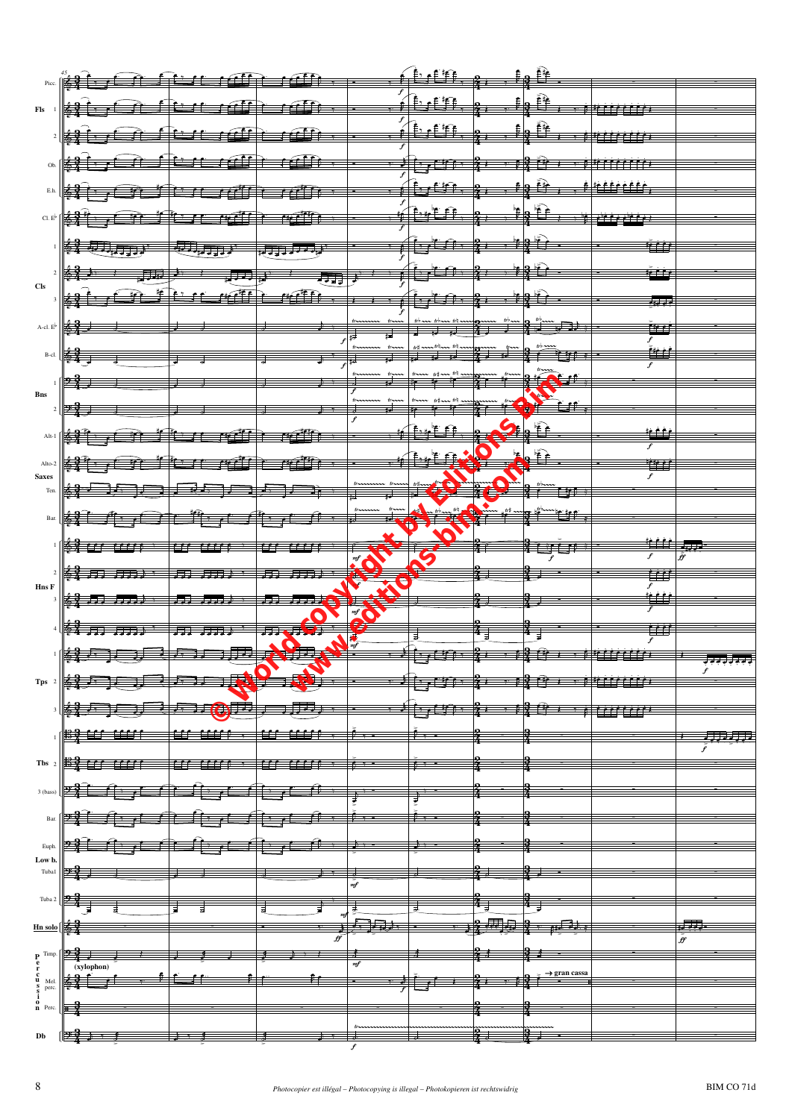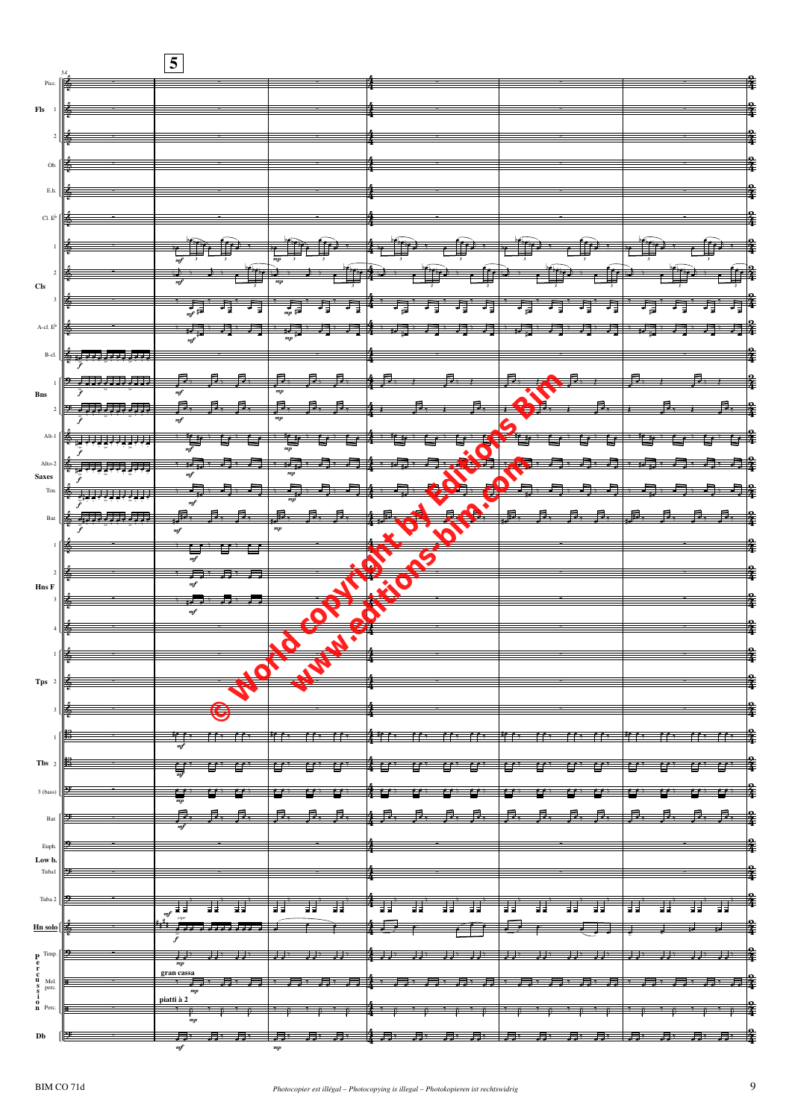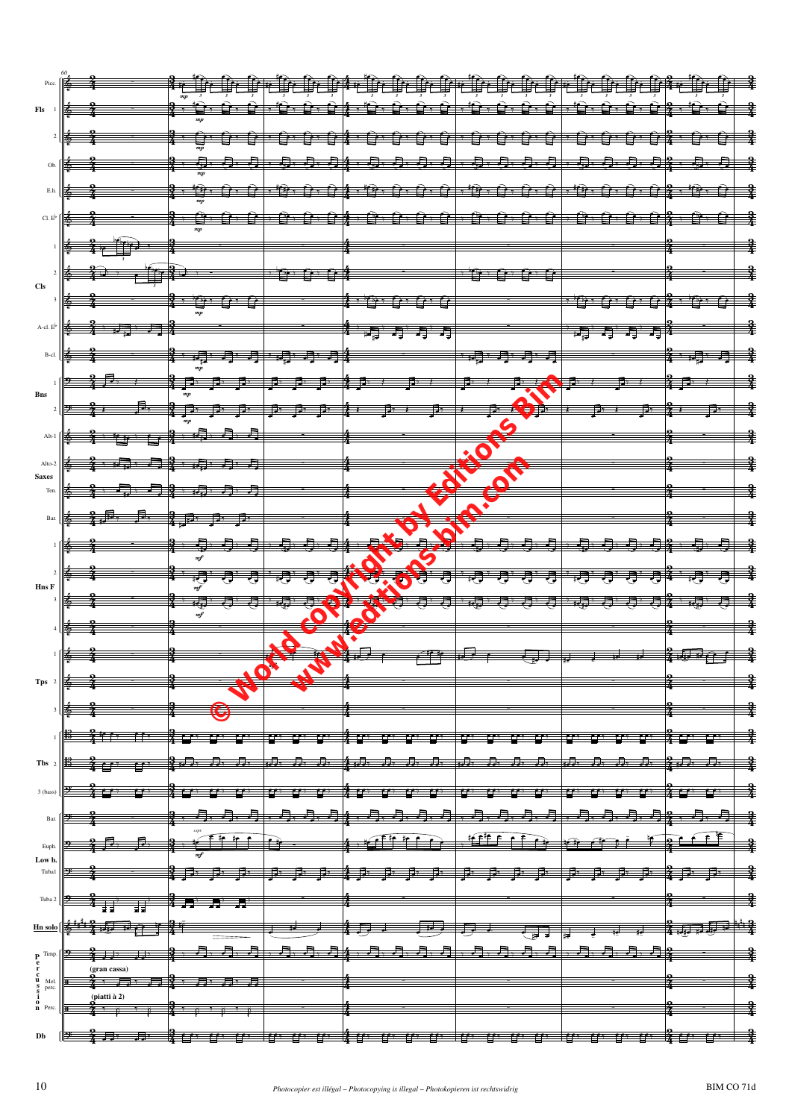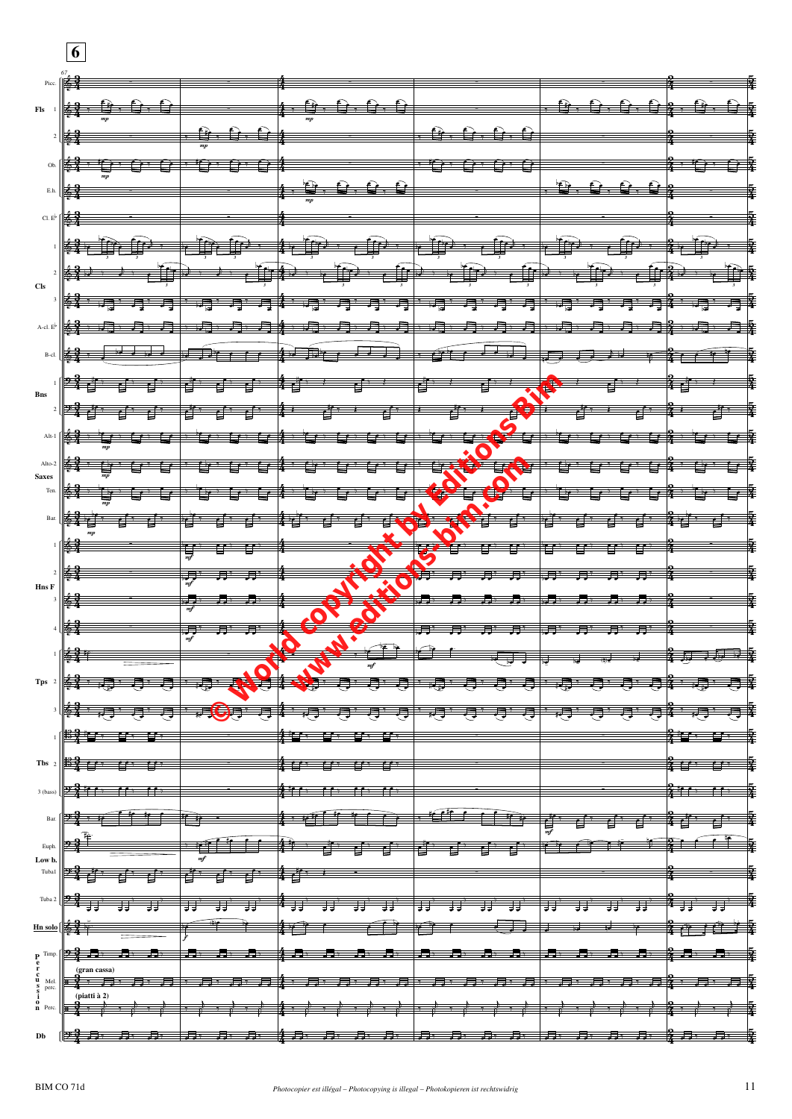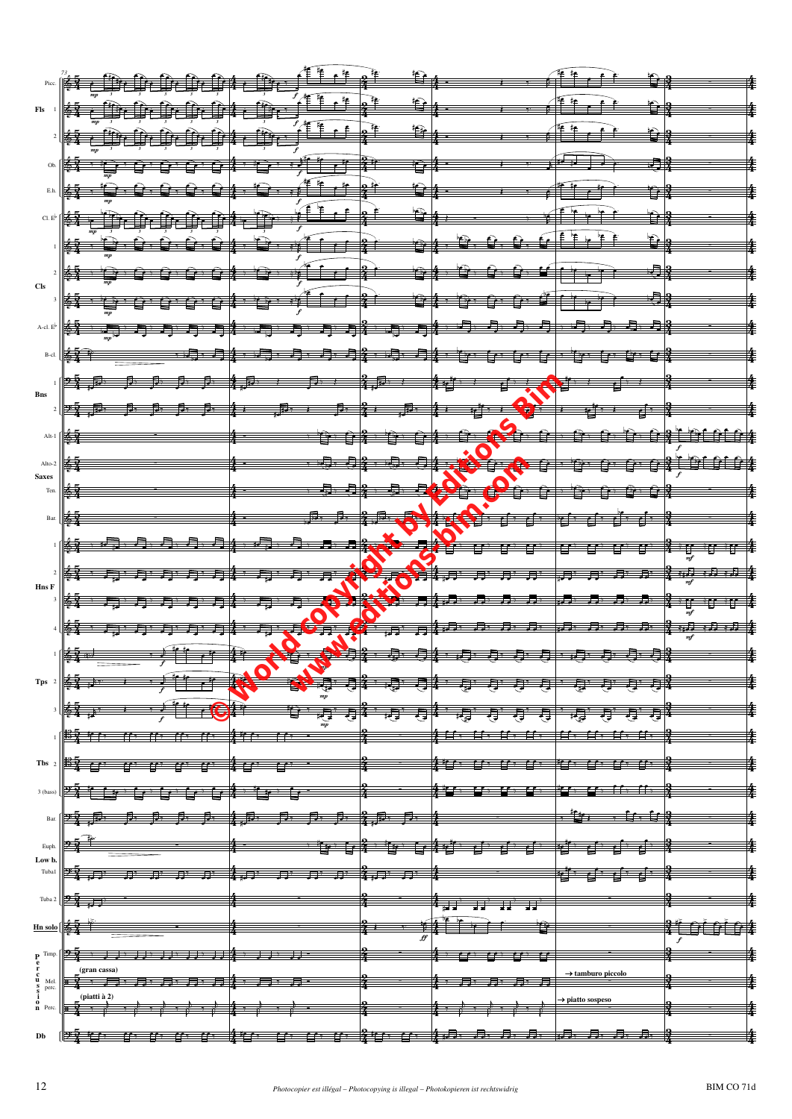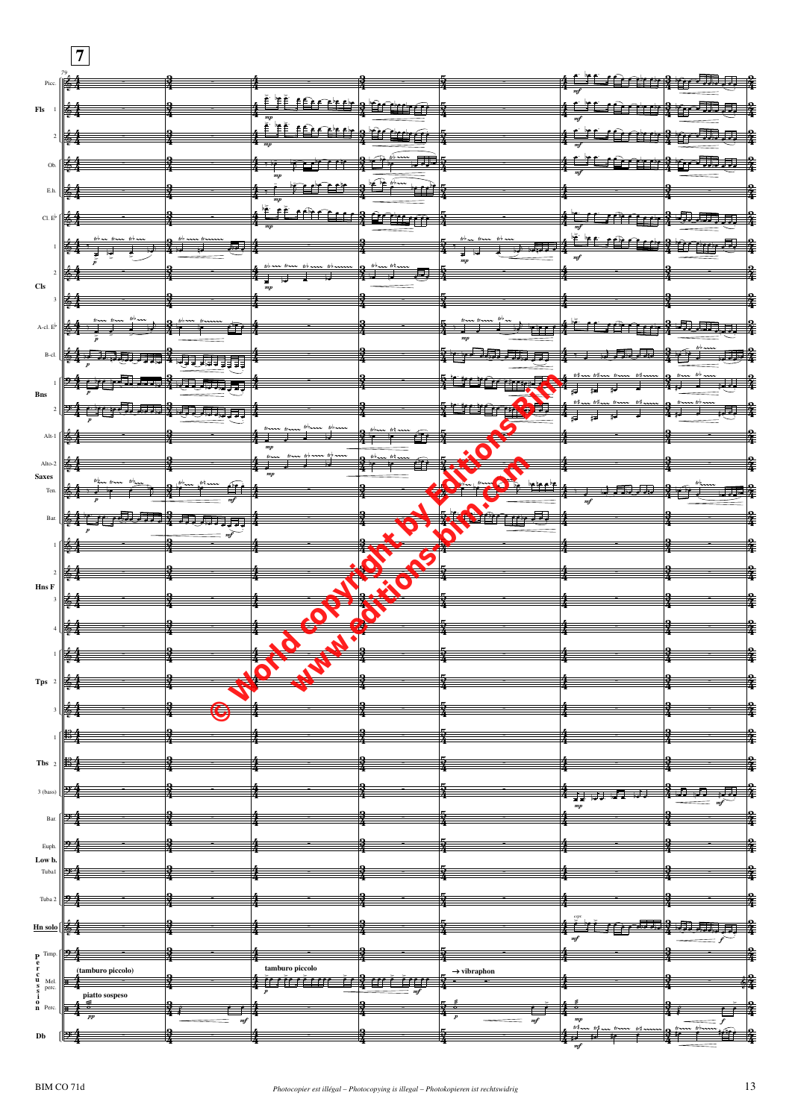

|                                                                | $\overline{7}$                                                                                                                                                           |                                                        |                                |                                                                                            |                                                                                             |                                                                                                                                                                                                                                                                                                                     |                                                                                                                                                                                                                                                                                                                     |  |
|----------------------------------------------------------------|--------------------------------------------------------------------------------------------------------------------------------------------------------------------------|--------------------------------------------------------|--------------------------------|--------------------------------------------------------------------------------------------|---------------------------------------------------------------------------------------------|---------------------------------------------------------------------------------------------------------------------------------------------------------------------------------------------------------------------------------------------------------------------------------------------------------------------|---------------------------------------------------------------------------------------------------------------------------------------------------------------------------------------------------------------------------------------------------------------------------------------------------------------------|--|
| $\operatorname{Picc.}$                                         |                                                                                                                                                                          |                                                        |                                |                                                                                            |                                                                                             |                                                                                                                                                                                                                                                                                                                     | $\frac{1}{2}$ and $\frac{1}{2}$ is a subset of $\sqrt{2}$                                                                                                                                                                                                                                                           |  |
|                                                                |                                                                                                                                                                          |                                                        |                                |                                                                                            |                                                                                             |                                                                                                                                                                                                                                                                                                                     |                                                                                                                                                                                                                                                                                                                     |  |
| $F$ <b>Is</b> $1$                                              |                                                                                                                                                                          |                                                        | $_{mp}$                        |                                                                                            |                                                                                             | $\frac{1}{2}$ $\frac{1}{2}$ $\frac{1}{2}$ $\frac{1}{2}$ $\frac{1}{2}$ $\frac{1}{2}$ $\frac{1}{2}$ $\frac{1}{2}$ $\frac{1}{2}$ $\frac{1}{2}$ $\frac{1}{2}$ $\frac{1}{2}$ $\frac{1}{2}$ $\frac{1}{2}$ $\frac{1}{2}$ $\frac{1}{2}$ $\frac{1}{2}$ $\frac{1}{2}$ $\frac{1}{2}$ $\frac{1}{2}$ $\frac{1}{2}$ $\frac{1}{2}$ | .                                                                                                                                                                                                                                                                                                                   |  |
|                                                                | $\frac{2}{6}$                                                                                                                                                            |                                                        | <u>e re</u>                    |                                                                                            |                                                                                             | \$ S                                                                                                                                                                                                                                                                                                                |                                                                                                                                                                                                                                                                                                                     |  |
|                                                                |                                                                                                                                                                          |                                                        | $_{mp}$                        |                                                                                            |                                                                                             |                                                                                                                                                                                                                                                                                                                     |                                                                                                                                                                                                                                                                                                                     |  |
| Ob.                                                            | $\blacklozenge$                                                                                                                                                          |                                                        | $\frac{4}{7}$<br>P             |                                                                                            |                                                                                             | $\frac{4}{4} \frac{1}{\frac{m f}{}}$                                                                                                                                                                                                                                                                                | $\frac{1}{4}$ $\frac{1}{4}$ $\frac{1}{4}$ $\frac{1}{4}$ $\frac{1}{4}$ $\frac{1}{4}$ $\frac{1}{4}$ $\frac{1}{4}$ $\frac{1}{4}$ $\frac{1}{4}$ $\frac{1}{4}$ $\frac{1}{4}$ $\frac{1}{4}$ $\frac{1}{4}$ $\frac{1}{4}$ $\frac{1}{4}$ $\frac{1}{4}$ $\frac{1}{4}$ $\frac{1}{4}$ $\frac{1}{4}$ $\frac{1}{4}$ $\frac{1}{4}$ |  |
| E.h.                                                           |                                                                                                                                                                          |                                                        |                                | $\frac{b\bullet}{\bullet}$ them<br>$\rightarrow$ $\rightarrow$ $\rightarrow$ $\rightarrow$ |                                                                                             |                                                                                                                                                                                                                                                                                                                     |                                                                                                                                                                                                                                                                                                                     |  |
|                                                                |                                                                                                                                                                          |                                                        |                                |                                                                                            |                                                                                             |                                                                                                                                                                                                                                                                                                                     |                                                                                                                                                                                                                                                                                                                     |  |
| Cl. $E^{\flat}$                                                | $\blacklozenge$                                                                                                                                                          |                                                        |                                |                                                                                            |                                                                                             |                                                                                                                                                                                                                                                                                                                     |                                                                                                                                                                                                                                                                                                                     |  |
|                                                                | $\frac{1}{3}$                                                                                                                                                            |                                                        |                                |                                                                                            | $\frac{5}{4}$                                                                               |                                                                                                                                                                                                                                                                                                                     |                                                                                                                                                                                                                                                                                                                     |  |
|                                                                |                                                                                                                                                                          |                                                        | $t$ $t$ $\sim$ $t$ $t$ $\sim$  | $\frac{3}{4}$ the theory                                                                   |                                                                                             |                                                                                                                                                                                                                                                                                                                     |                                                                                                                                                                                                                                                                                                                     |  |
| $_{\text{Cls}}$                                                |                                                                                                                                                                          |                                                        |                                |                                                                                            |                                                                                             |                                                                                                                                                                                                                                                                                                                     |                                                                                                                                                                                                                                                                                                                     |  |
|                                                                | $\frac{3}{64}$                                                                                                                                                           |                                                        |                                |                                                                                            |                                                                                             |                                                                                                                                                                                                                                                                                                                     |                                                                                                                                                                                                                                                                                                                     |  |
|                                                                | $\begin{array}{c c}\n t \rightarrow \text{true} & t \rightarrow \text{true} \\  \hline\n t \rightarrow \text{true} & t \rightarrow \text{true} \\  \hline\n \end{array}$ |                                                        |                                |                                                                                            | $\begin{array}{c c}\n & \text{if } x \sim x \\ \hline\n & \text{if } x \sim y\n\end{array}$ |                                                                                                                                                                                                                                                                                                                     |                                                                                                                                                                                                                                                                                                                     |  |
|                                                                | A-cl. E <sup>b</sup> $\left \left \oint_{\mathbb{S}} \frac{4}{4} \right $                                                                                                | $\frac{3}{4}$ is the set of $\frac{1}{4}$<br><u>er</u> |                                |                                                                                            | $\bar{z}$ ,<br>$\frac{1}{2}$                                                                | <u>reebe</u>                                                                                                                                                                                                                                                                                                        | $\overline{1}$                                                                                                                                                                                                                                                                                                      |  |
|                                                                | $B$ -cl. $\frac{2}{3}$ $\frac{4}{p}$ $\frac{1}{p}$ $\frac{1}{3}$ $\frac{1}{3}$ $\frac{1}{3}$ $\frac{1}{4}$                                                               | स्त्र स्वतं स्                                         |                                |                                                                                            | <u>y perbect</u>                                                                            |                                                                                                                                                                                                                                                                                                                     |                                                                                                                                                                                                                                                                                                                     |  |
|                                                                |                                                                                                                                                                          |                                                        |                                |                                                                                            |                                                                                             |                                                                                                                                                                                                                                                                                                                     |                                                                                                                                                                                                                                                                                                                     |  |
| <b>Bns</b>                                                     |                                                                                                                                                                          |                                                        |                                |                                                                                            | <u> Time a shekara shekara n</u>                                                            |                                                                                                                                                                                                                                                                                                                     |                                                                                                                                                                                                                                                                                                                     |  |
|                                                                | $2\sqrt{24 - \frac{1}{4} \left(\frac{1}{2}\right)^2}$                                                                                                                    |                                                        |                                |                                                                                            |                                                                                             |                                                                                                                                                                                                                                                                                                                     |                                                                                                                                                                                                                                                                                                                     |  |
|                                                                |                                                                                                                                                                          |                                                        |                                |                                                                                            |                                                                                             |                                                                                                                                                                                                                                                                                                                     |                                                                                                                                                                                                                                                                                                                     |  |
| $Alt-1$                                                        | 6                                                                                                                                                                        |                                                        | mp                             | $e^{\frac{1}{2}x}$                                                                         |                                                                                             |                                                                                                                                                                                                                                                                                                                     |                                                                                                                                                                                                                                                                                                                     |  |
| Alto-2 $\sqrt{62}$                                             |                                                                                                                                                                          |                                                        | $\frac{1}{2}$<br>$\frac{t}{t}$ | $\frac{3}{4}$ be the theory<br>$\mathbf{r}$                                                | $\bullet$                                                                                   |                                                                                                                                                                                                                                                                                                                     |                                                                                                                                                                                                                                                                                                                     |  |
| <b>Saxes</b><br>Ten.                                           |                                                                                                                                                                          |                                                        | $\boldsymbol{m}$               |                                                                                            |                                                                                             |                                                                                                                                                                                                                                                                                                                     |                                                                                                                                                                                                                                                                                                                     |  |
|                                                                | $\blacklozenge$                                                                                                                                                          |                                                        |                                |                                                                                            |                                                                                             |                                                                                                                                                                                                                                                                                                                     |                                                                                                                                                                                                                                                                                                                     |  |
| <b>Bar</b>                                                     |                                                                                                                                                                          |                                                        |                                |                                                                                            |                                                                                             |                                                                                                                                                                                                                                                                                                                     | $\frac{2}{4}$                                                                                                                                                                                                                                                                                                       |  |
|                                                                | क                                                                                                                                                                        |                                                        |                                |                                                                                            |                                                                                             |                                                                                                                                                                                                                                                                                                                     | $\frac{2}{4}$                                                                                                                                                                                                                                                                                                       |  |
|                                                                |                                                                                                                                                                          |                                                        |                                |                                                                                            |                                                                                             |                                                                                                                                                                                                                                                                                                                     |                                                                                                                                                                                                                                                                                                                     |  |
| 2 <sup>1</sup>                                                 |                                                                                                                                                                          |                                                        |                                |                                                                                            |                                                                                             |                                                                                                                                                                                                                                                                                                                     | $\frac{2}{4}$                                                                                                                                                                                                                                                                                                       |  |
| $\mathbf{H}\mathbf{n}\mathbf{s}\,\mathbf{F}$<br>3 <sup>1</sup> | 6                                                                                                                                                                        |                                                        |                                |                                                                                            |                                                                                             |                                                                                                                                                                                                                                                                                                                     | $\frac{2}{4}$                                                                                                                                                                                                                                                                                                       |  |
|                                                                |                                                                                                                                                                          |                                                        |                                |                                                                                            |                                                                                             |                                                                                                                                                                                                                                                                                                                     |                                                                                                                                                                                                                                                                                                                     |  |
|                                                                |                                                                                                                                                                          |                                                        |                                |                                                                                            |                                                                                             |                                                                                                                                                                                                                                                                                                                     | $\frac{2}{4}$                                                                                                                                                                                                                                                                                                       |  |
| $1\vert$                                                       |                                                                                                                                                                          |                                                        |                                |                                                                                            |                                                                                             |                                                                                                                                                                                                                                                                                                                     | $\frac{2}{4}$                                                                                                                                                                                                                                                                                                       |  |
|                                                                |                                                                                                                                                                          |                                                        |                                |                                                                                            |                                                                                             |                                                                                                                                                                                                                                                                                                                     |                                                                                                                                                                                                                                                                                                                     |  |
| $\mathbf{Tps}$ 2                                               |                                                                                                                                                                          |                                                        |                                |                                                                                            |                                                                                             |                                                                                                                                                                                                                                                                                                                     | $\frac{2}{4}$                                                                                                                                                                                                                                                                                                       |  |
| 3 <sup>1</sup>                                                 |                                                                                                                                                                          | G                                                      |                                |                                                                                            |                                                                                             |                                                                                                                                                                                                                                                                                                                     | $\frac{2}{4}$                                                                                                                                                                                                                                                                                                       |  |
|                                                                |                                                                                                                                                                          |                                                        |                                |                                                                                            |                                                                                             |                                                                                                                                                                                                                                                                                                                     |                                                                                                                                                                                                                                                                                                                     |  |
| 1 <sup>1</sup>                                                 | I5                                                                                                                                                                       |                                                        |                                |                                                                                            |                                                                                             |                                                                                                                                                                                                                                                                                                                     | $\frac{2}{4}$                                                                                                                                                                                                                                                                                                       |  |
| Tbs $2$                                                        | 15                                                                                                                                                                       |                                                        |                                |                                                                                            |                                                                                             |                                                                                                                                                                                                                                                                                                                     | $\frac{2}{4}$                                                                                                                                                                                                                                                                                                       |  |
|                                                                |                                                                                                                                                                          |                                                        |                                |                                                                                            |                                                                                             |                                                                                                                                                                                                                                                                                                                     |                                                                                                                                                                                                                                                                                                                     |  |
| 3 (bass)                                                       |                                                                                                                                                                          |                                                        |                                |                                                                                            |                                                                                             | mp                                                                                                                                                                                                                                                                                                                  | Ź                                                                                                                                                                                                                                                                                                                   |  |
| Bar.                                                           |                                                                                                                                                                          |                                                        |                                |                                                                                            |                                                                                             |                                                                                                                                                                                                                                                                                                                     | $\frac{2}{4}$                                                                                                                                                                                                                                                                                                       |  |
|                                                                |                                                                                                                                                                          |                                                        |                                |                                                                                            |                                                                                             |                                                                                                                                                                                                                                                                                                                     |                                                                                                                                                                                                                                                                                                                     |  |
| Euph                                                           |                                                                                                                                                                          |                                                        |                                |                                                                                            |                                                                                             |                                                                                                                                                                                                                                                                                                                     | $\frac{2}{4}$                                                                                                                                                                                                                                                                                                       |  |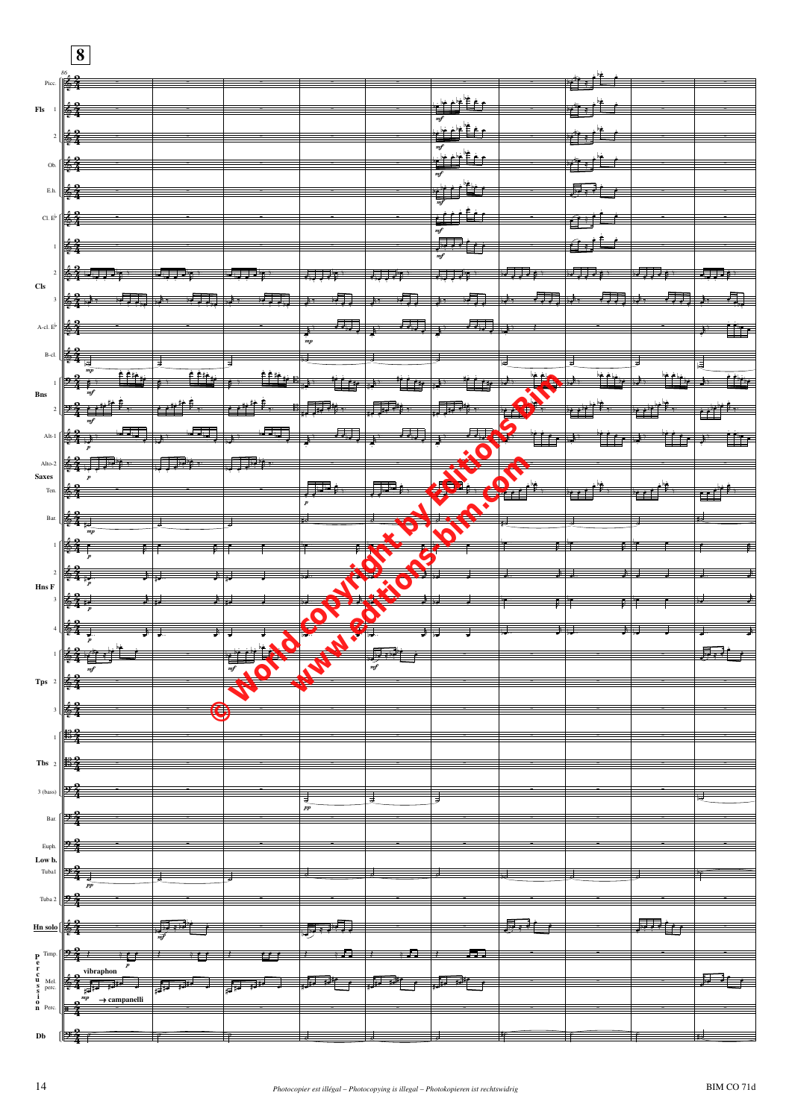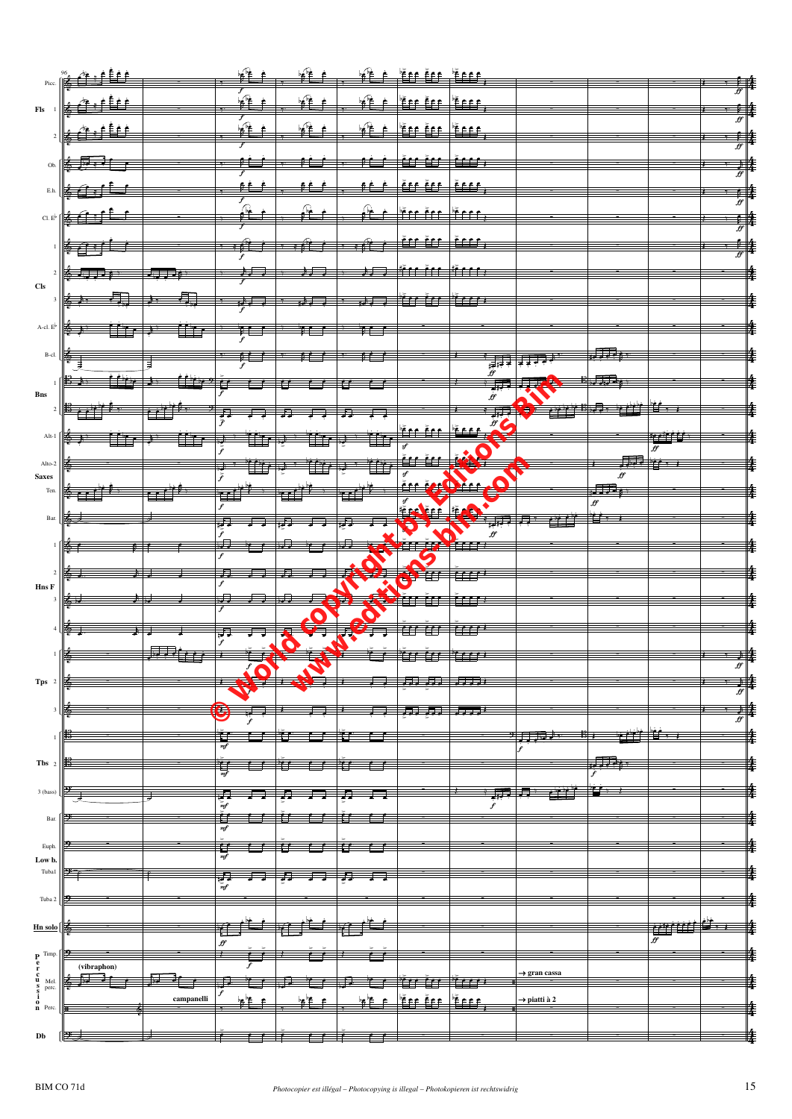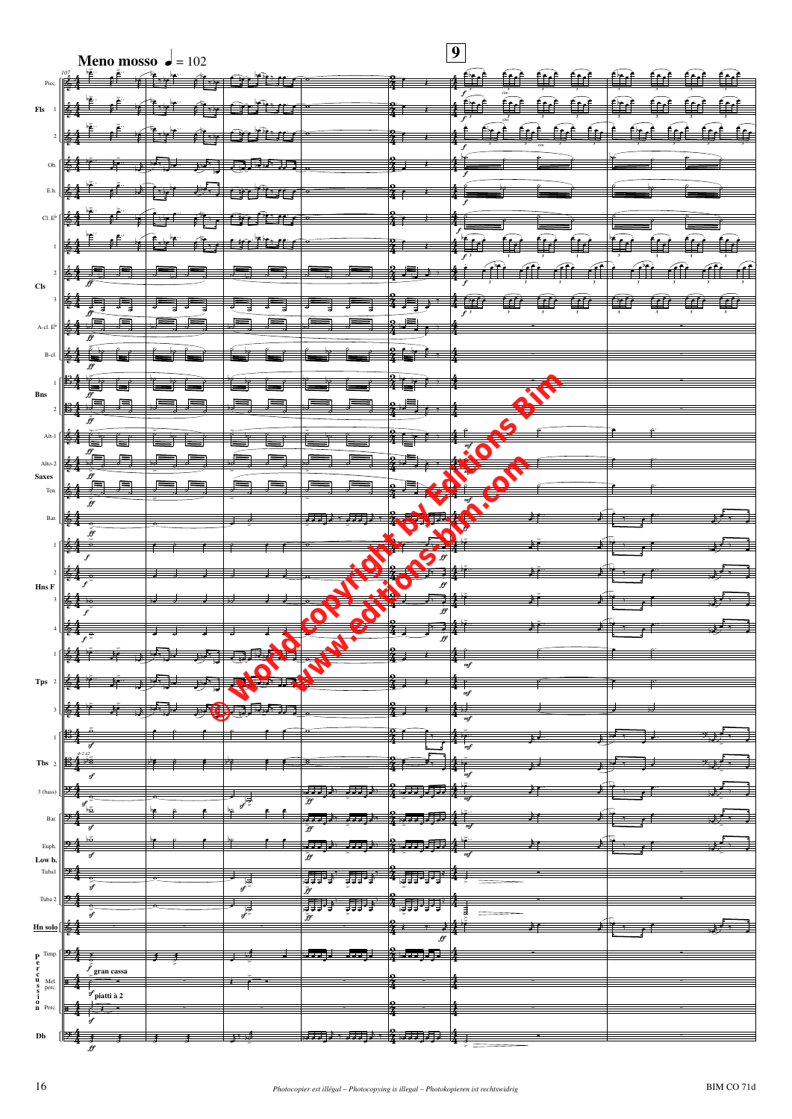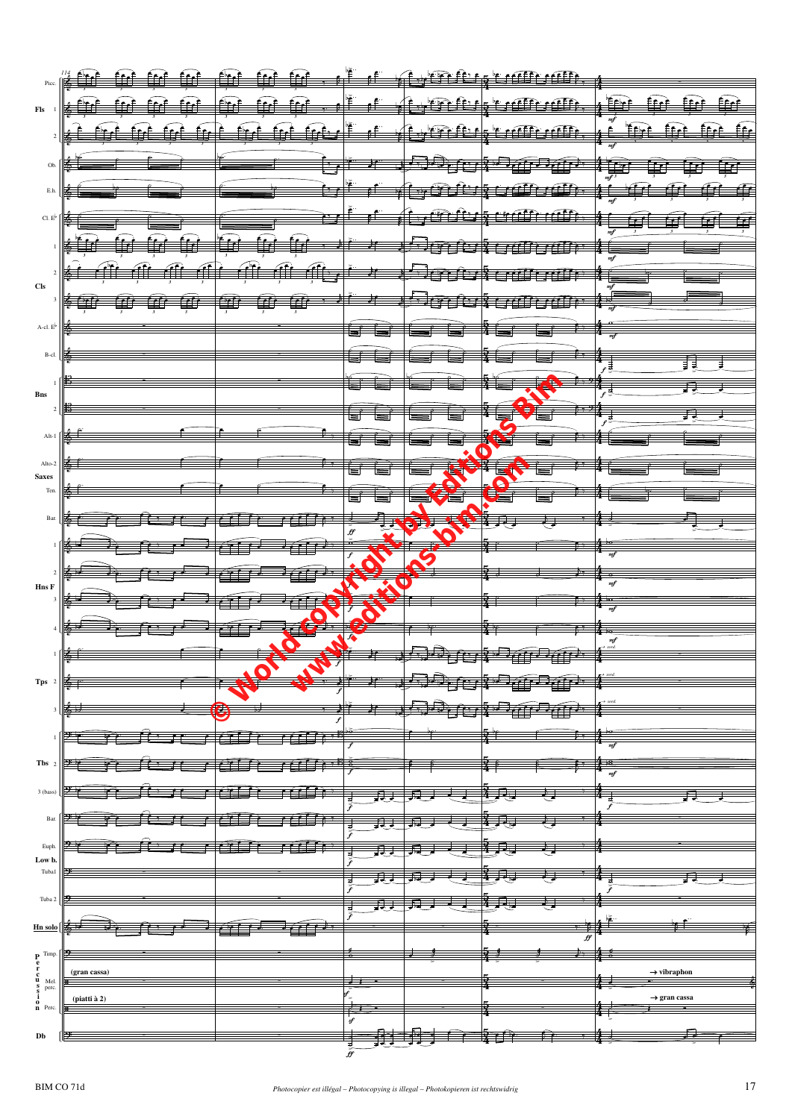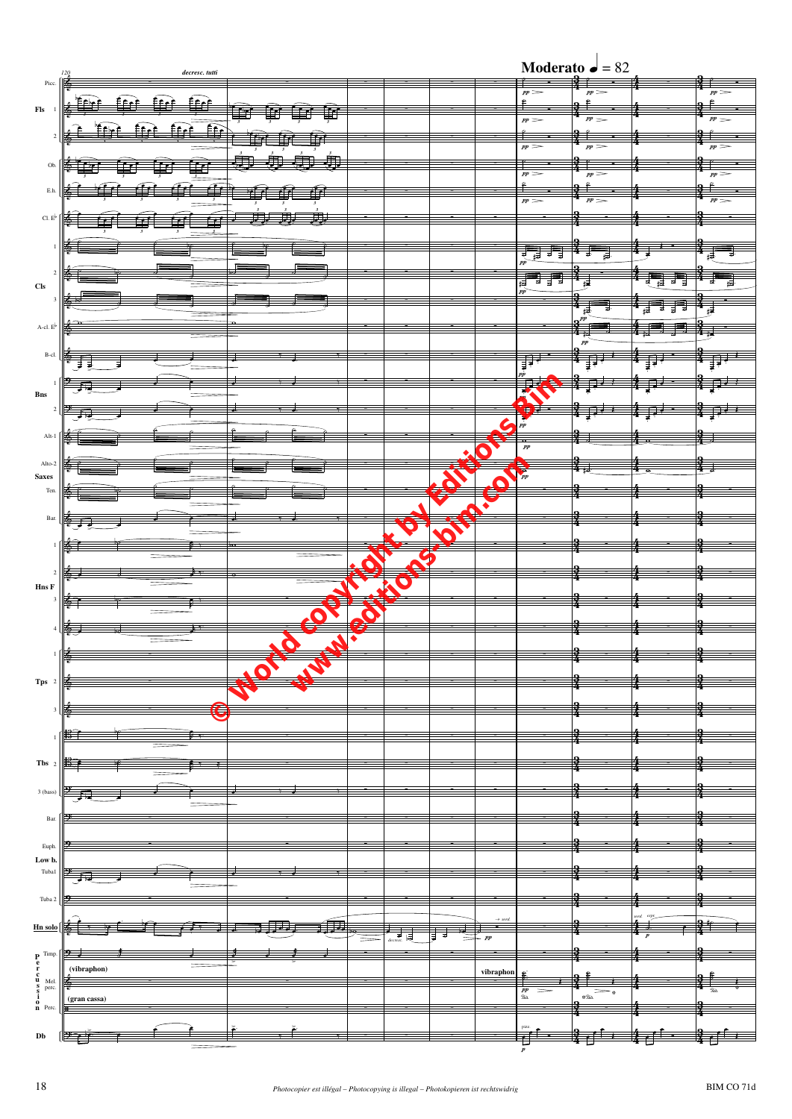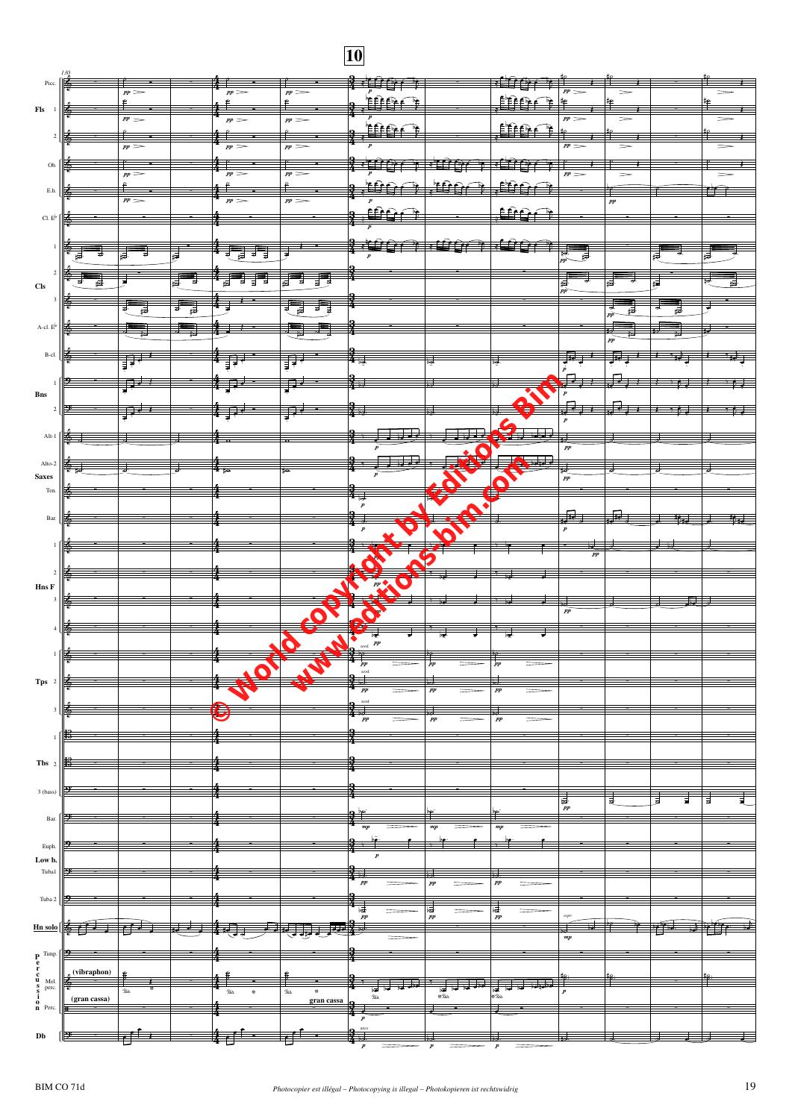

 $\boxed{10}$